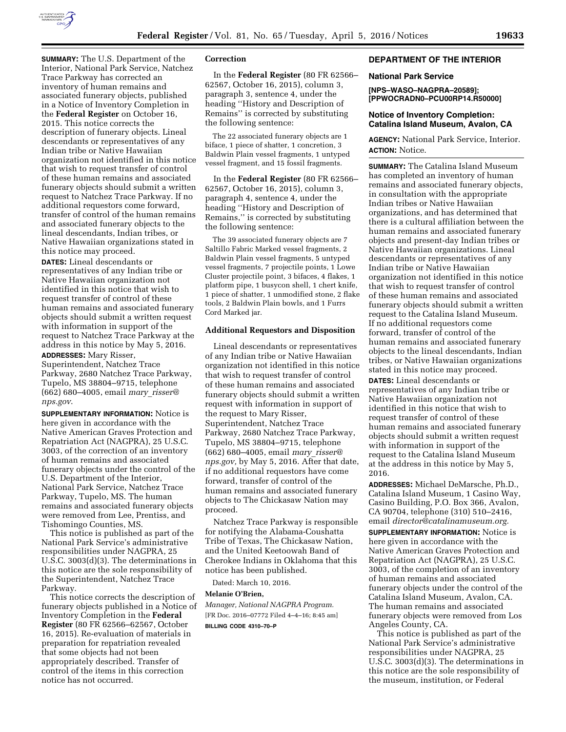

**SUMMARY:** The U.S. Department of the Interior, National Park Service, Natchez Trace Parkway has corrected an inventory of human remains and associated funerary objects, published in a Notice of Inventory Completion in the **Federal Register** on October 16, 2015. This notice corrects the description of funerary objects. Lineal descendants or representatives of any Indian tribe or Native Hawaiian organization not identified in this notice that wish to request transfer of control of these human remains and associated funerary objects should submit a written request to Natchez Trace Parkway. If no additional requestors come forward, transfer of control of the human remains and associated funerary objects to the lineal descendants, Indian tribes, or Native Hawaiian organizations stated in this notice may proceed.

**DATES:** Lineal descendants or representatives of any Indian tribe or Native Hawaiian organization not identified in this notice that wish to request transfer of control of these human remains and associated funerary objects should submit a written request with information in support of the request to Natchez Trace Parkway at the address in this notice by May 5, 2016.

**ADDRESSES:** Mary Risser, Superintendent, Natchez Trace Parkway, 2680 Natchez Trace Parkway, Tupelo, MS 38804–9715, telephone (662) 680–4005, email *mary*\_*[risser@](mailto:mary_risser@nps.gov) [nps.gov](mailto:mary_risser@nps.gov)*.

**SUPPLEMENTARY INFORMATION:** Notice is here given in accordance with the Native American Graves Protection and Repatriation Act (NAGPRA), 25 U.S.C. 3003, of the correction of an inventory of human remains and associated funerary objects under the control of the U.S. Department of the Interior, National Park Service, Natchez Trace Parkway, Tupelo, MS. The human remains and associated funerary objects were removed from Lee, Prentiss, and Tishomingo Counties, MS.

This notice is published as part of the National Park Service's administrative responsibilities under NAGPRA, 25 U.S.C. 3003(d)(3). The determinations in this notice are the sole responsibility of the Superintendent, Natchez Trace Parkway.

This notice corrects the description of funerary objects published in a Notice of Inventory Completion in the **Federal Register** (80 FR 62566–62567, October 16, 2015). Re-evaluation of materials in preparation for repatriation revealed that some objects had not been appropriately described. Transfer of control of the items in this correction notice has not occurred.

## **Correction**

In the **Federal Register** (80 FR 62566– 62567, October 16, 2015), column 3, paragraph 3, sentence 4, under the heading ''History and Description of Remains'' is corrected by substituting the following sentence:

The 22 associated funerary objects are 1 biface, 1 piece of shatter, 1 concretion, 3 Baldwin Plain vessel fragments, 1 untyped vessel fragment, and 15 fossil fragments.

In the **Federal Register** (80 FR 62566– 62567, October 16, 2015), column 3, paragraph 4, sentence 4, under the heading ''History and Description of Remains,'' is corrected by substituting the following sentence:

The 39 associated funerary objects are 7 Saltillo Fabric Marked vessel fragments, 2 Baldwin Plain vessel fragments, 5 untyped vessel fragments, 7 projectile points, 1 Lowe Cluster projectile point, 3 bifaces, 4 flakes, 1 platform pipe, 1 busycon shell, 1 chert knife, 1 piece of shatter, 1 unmodified stone, 2 flake tools, 2 Baldwin Plain bowls, and 1 Furrs Cord Marked jar.

### **Additional Requestors and Disposition**

Lineal descendants or representatives of any Indian tribe or Native Hawaiian organization not identified in this notice that wish to request transfer of control of these human remains and associated funerary objects should submit a written request with information in support of the request to Mary Risser, Superintendent, Natchez Trace Parkway, 2680 Natchez Trace Parkway, Tupelo, MS 38804–9715, telephone (662) 680–4005, email *mary*\_*[risser@](mailto:mary_risser@nps.gov) [nps.gov,](mailto:mary_risser@nps.gov)* by May 5, 2016. After that date, if no additional requestors have come forward, transfer of control of the human remains and associated funerary objects to The Chickasaw Nation may proceed.

Natchez Trace Parkway is responsible for notifying the Alabama-Coushatta Tribe of Texas, The Chickasaw Nation, and the United Keetoowah Band of Cherokee Indians in Oklahoma that this notice has been published.

Dated: March 10, 2016.

## **Melanie O'Brien,**

*Manager, National NAGPRA Program.*  [FR Doc. 2016–07772 Filed 4–4–16; 8:45 am] **BILLING CODE 4310–70–P** 

# **DEPARTMENT OF THE INTERIOR**

#### **National Park Service**

**[NPS–WASO–NAGPRA–20589]; [PPWOCRADN0–PCU00RP14.R50000]** 

## **Notice of Inventory Completion: Catalina Island Museum, Avalon, CA**

**AGENCY:** National Park Service, Interior. **ACTION:** Notice.

**SUMMARY:** The Catalina Island Museum has completed an inventory of human remains and associated funerary objects, in consultation with the appropriate Indian tribes or Native Hawaiian organizations, and has determined that there is a cultural affiliation between the human remains and associated funerary objects and present-day Indian tribes or Native Hawaiian organizations. Lineal descendants or representatives of any Indian tribe or Native Hawaiian organization not identified in this notice that wish to request transfer of control of these human remains and associated funerary objects should submit a written request to the Catalina Island Museum. If no additional requestors come forward, transfer of control of the human remains and associated funerary objects to the lineal descendants, Indian tribes, or Native Hawaiian organizations stated in this notice may proceed.

**DATES:** Lineal descendants or representatives of any Indian tribe or Native Hawaiian organization not identified in this notice that wish to request transfer of control of these human remains and associated funerary objects should submit a written request with information in support of the request to the Catalina Island Museum at the address in this notice by May 5, 2016.

**ADDRESSES:** Michael DeMarsche, Ph.D., Catalina Island Museum, 1 Casino Way, Casino Building, P.O. Box 366, Avalon, CA 90704, telephone (310) 510–2416, email *[director@catalinamuseum.org.](mailto:director@catalinamuseum.org)* 

**SUPPLEMENTARY INFORMATION:** Notice is here given in accordance with the Native American Graves Protection and Repatriation Act (NAGPRA), 25 U.S.C. 3003, of the completion of an inventory of human remains and associated funerary objects under the control of the Catalina Island Museum, Avalon, CA. The human remains and associated funerary objects were removed from Los Angeles County, CA.

This notice is published as part of the National Park Service's administrative responsibilities under NAGPRA, 25 U.S.C. 3003(d)(3). The determinations in this notice are the sole responsibility of the museum, institution, or Federal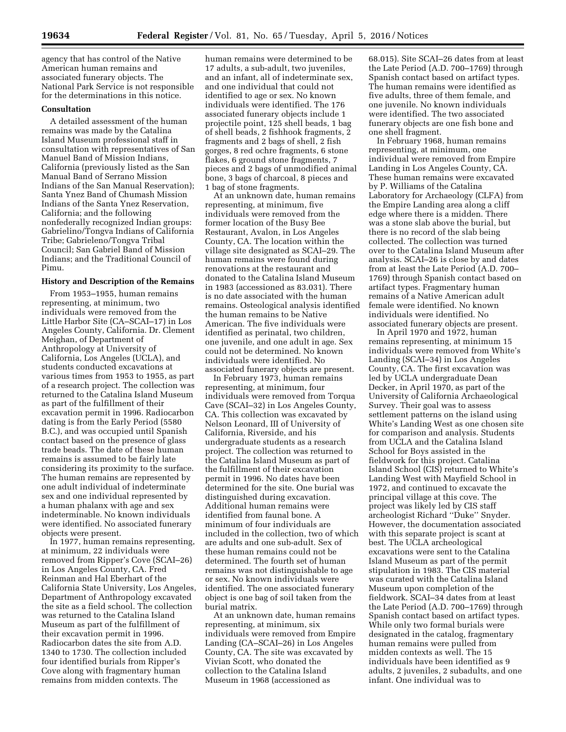agency that has control of the Native American human remains and associated funerary objects. The National Park Service is not responsible for the determinations in this notice.

## **Consultation**

A detailed assessment of the human remains was made by the Catalina Island Museum professional staff in consultation with representatives of San Manuel Band of Mission Indians, California (previously listed as the San Manual Band of Serrano Mission Indians of the San Manual Reservation); Santa Ynez Band of Chumash Mission Indians of the Santa Ynez Reservation, California; and the following nonfederally recognized Indian groups: Gabrielino/Tongva Indians of California Tribe; Gabrieleno/Tongva Tribal Council; San Gabriel Band of Mission Indians; and the Traditional Council of Pimu.

### **History and Description of the Remains**

From 1953–1955, human remains representing, at minimum, two individuals were removed from the Little Harbor Site (CA–SCAI–17) in Los Angeles County, California. Dr. Clement Meighan, of Department of Anthropology at University of California, Los Angeles (UCLA), and students conducted excavations at various times from 1953 to 1955, as part of a research project. The collection was returned to the Catalina Island Museum as part of the fulfillment of their excavation permit in 1996. Radiocarbon dating is from the Early Period (5580 B.C.), and was occupied until Spanish contact based on the presence of glass trade beads. The date of these human remains is assumed to be fairly late considering its proximity to the surface. The human remains are represented by one adult individual of indeterminate sex and one individual represented by a human phalanx with age and sex indeterminable. No known individuals were identified. No associated funerary objects were present.

In 1977, human remains representing, at minimum, 22 individuals were removed from Ripper's Cove (SCAI–26) in Los Angeles County, CA. Fred Reinman and Hal Eberhart of the California State University, Los Angeles, Department of Anthropology excavated the site as a field school. The collection was returned to the Catalina Island Museum as part of the fulfillment of their excavation permit in 1996. Radiocarbon dates the site from A.D. 1340 to 1730. The collection included four identified burials from Ripper's Cove along with fragmentary human remains from midden contexts. The

human remains were determined to be 17 adults, a sub-adult, two juveniles, and an infant, all of indeterminate sex, and one individual that could not identified to age or sex. No known individuals were identified. The 176 associated funerary objects include 1 projectile point, 125 shell beads, 1 bag of shell beads, 2 fishhook fragments, 2 fragments and 2 bags of shell, 2 fish gorges, 8 red ochre fragments, 6 stone flakes, 6 ground stone fragments, 7 pieces and 2 bags of unmodified animal bone, 3 bags of charcoal, 8 pieces and 1 bag of stone fragments.

At an unknown date, human remains representing, at minimum, five individuals were removed from the former location of the Busy Bee Restaurant, Avalon, in Los Angeles County, CA. The location within the village site designated as SCAI–29. The human remains were found during renovations at the restaurant and donated to the Catalina Island Museum in 1983 (accessioned as 83.031). There is no date associated with the human remains. Osteological analysis identified the human remains to be Native American. The five individuals were identified as perinatal, two children, one juvenile, and one adult in age. Sex could not be determined. No known individuals were identified. No associated funerary objects are present.

In February 1973, human remains representing, at minimum, four individuals were removed from Torqua Cave (SCAI–32) in Los Angeles County, CA. This collection was excavated by Nelson Leonard, III of University of California, Riverside, and his undergraduate students as a research project. The collection was returned to the Catalina Island Museum as part of the fulfillment of their excavation permit in 1996. No dates have been determined for the site. One burial was distinguished during excavation. Additional human remains were identified from faunal bone. A minimum of four individuals are included in the collection, two of which are adults and one sub-adult. Sex of these human remains could not be determined. The fourth set of human remains was not distinguishable to age or sex. No known individuals were identified. The one associated funerary object is one bag of soil taken from the burial matrix.

At an unknown date, human remains representing, at minimum, six individuals were removed from Empire Landing (CA–SCAI–26) in Los Angeles County, CA. The site was excavated by Vivian Scott, who donated the collection to the Catalina Island Museum in 1968 (accessioned as

68.015). Site SCAI–26 dates from at least the Late Period (A.D. 700–1769) through Spanish contact based on artifact types. The human remains were identified as five adults, three of them female, and one juvenile. No known individuals were identified. The two associated funerary objects are one fish bone and one shell fragment.

In February 1968, human remains representing, at minimum, one individual were removed from Empire Landing in Los Angeles County, CA. These human remains were excavated by P. Williams of the Catalina Laboratory for Archaeology (CLFA) from the Empire Landing area along a cliff edge where there is a midden. There was a stone slab above the burial, but there is no record of the slab being collected. The collection was turned over to the Catalina Island Museum after analysis. SCAI–26 is close by and dates from at least the Late Period (A.D. 700– 1769) through Spanish contact based on artifact types. Fragmentary human remains of a Native American adult female were identified. No known individuals were identified. No associated funerary objects are present.

In April 1970 and 1972, human remains representing, at minimum 15 individuals were removed from White's Landing (SCAI–34) in Los Angeles County, CA. The first excavation was led by UCLA undergraduate Dean Decker, in April 1970, as part of the University of California Archaeological Survey. Their goal was to assess settlement patterns on the island using White's Landing West as one chosen site for comparison and analysis. Students from UCLA and the Catalina Island School for Boys assisted in the fieldwork for this project. Catalina Island School (CIS) returned to White's Landing West with Mayfield School in 1972, and continued to excavate the principal village at this cove. The project was likely led by CIS staff archeologist Richard ''Duke'' Snyder. However, the documentation associated with this separate project is scant at best. The UCLA archeological excavations were sent to the Catalina Island Museum as part of the permit stipulation in 1983. The CIS material was curated with the Catalina Island Museum upon completion of the fieldwork. SCAI–34 dates from at least the Late Period (A.D. 700–1769) through Spanish contact based on artifact types. While only two formal burials were designated in the catalog, fragmentary human remains were pulled from midden contexts as well. The 15 individuals have been identified as 9 adults, 2 juveniles, 2 subadults, and one infant. One individual was to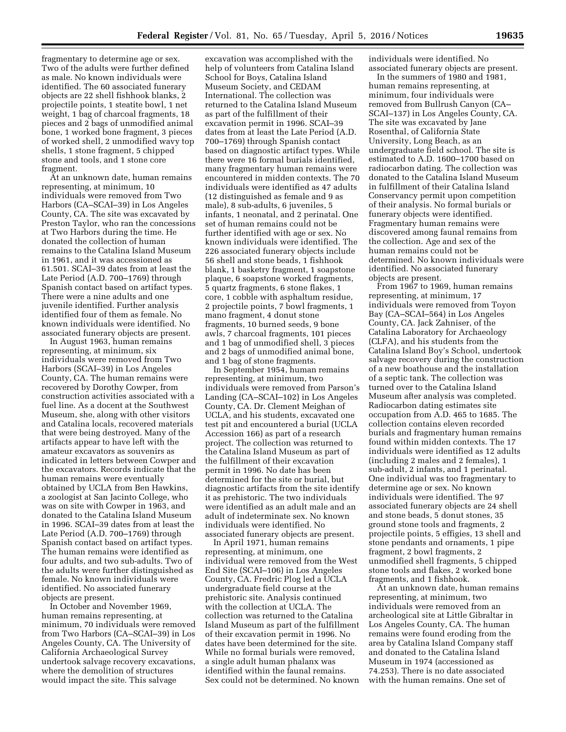fragmentary to determine age or sex. Two of the adults were further defined as male. No known individuals were identified. The 60 associated funerary objects are 22 shell fishhook blanks, 2 projectile points, 1 steatite bowl, 1 net weight, 1 bag of charcoal fragments, 18 pieces and 2 bags of unmodified animal bone, 1 worked bone fragment, 3 pieces of worked shell, 2 unmodified wavy top shells, 1 stone fragment, 5 chipped stone and tools, and 1 stone core fragment.

At an unknown date, human remains representing, at minimum, 10 individuals were removed from Two Harbors (CA–SCAI–39) in Los Angeles County, CA. The site was excavated by Preston Taylor, who ran the concessions at Two Harbors during the time. He donated the collection of human remains to the Catalina Island Museum in 1961, and it was accessioned as 61.501. SCAI–39 dates from at least the Late Period (A.D. 700–1769) through Spanish contact based on artifact types. There were a nine adults and one juvenile identified. Further analysis identified four of them as female. No known individuals were identified. No associated funerary objects are present.

In August 1963, human remains representing, at minimum, six individuals were removed from Two Harbors (SCAI–39) in Los Angeles County, CA. The human remains were recovered by Dorothy Cowper, from construction activities associated with a fuel line. As a docent at the Southwest Museum, she, along with other visitors and Catalina locals, recovered materials that were being destroyed. Many of the artifacts appear to have left with the amateur excavators as souvenirs as indicated in letters between Cowper and the excavators. Records indicate that the human remains were eventually obtained by UCLA from Ben Hawkins, a zoologist at San Jacinto College, who was on site with Cowper in 1963, and donated to the Catalina Island Museum in 1996. SCAI–39 dates from at least the Late Period (A.D. 700–1769) through Spanish contact based on artifact types. The human remains were identified as four adults, and two sub-adults. Two of the adults were further distinguished as female. No known individuals were identified. No associated funerary objects are present.

In October and November 1969, human remains representing, at minimum, 70 individuals were removed from Two Harbors (CA–SCAI–39) in Los Angeles County, CA. The University of California Archaeological Survey undertook salvage recovery excavations, where the demolition of structures would impact the site. This salvage

excavation was accomplished with the help of volunteers from Catalina Island School for Boys, Catalina Island Museum Society, and CEDAM International. The collection was returned to the Catalina Island Museum as part of the fulfillment of their excavation permit in 1996. SCAI–39 dates from at least the Late Period (A.D. 700–1769) through Spanish contact based on diagnostic artifact types. While there were 16 formal burials identified, many fragmentary human remains were encountered in midden contexts. The 70 individuals were identified as 47 adults (12 distinguished as female and 9 as male), 8 sub-adults, 6 juveniles, 5 infants, 1 neonatal, and 2 perinatal. One set of human remains could not be further identified with age or sex. No known individuals were identified. The 226 associated funerary objects include 56 shell and stone beads, 1 fishhook blank, 1 basketry fragment, 1 soapstone plaque, 6 soapstone worked fragments, 5 quartz fragments, 6 stone flakes, 1 core, 1 cobble with asphaltum residue, 2 projectile points, 7 bowl fragments, 1 mano fragment, 4 donut stone fragments, 10 burned seeds, 9 bone awls, 7 charcoal fragments, 101 pieces and 1 bag of unmodified shell, 3 pieces and 2 bags of unmodified animal bone, and 1 bag of stone fragments.

In September 1954, human remains representing, at minimum, two individuals were removed from Parson's Landing (CA–SCAI–102) in Los Angeles County, CA. Dr. Clement Meighan of UCLA, and his students, excavated one test pit and encountered a burial (UCLA Accession 166) as part of a research project. The collection was returned to the Catalina Island Museum as part of the fulfillment of their excavation permit in 1996. No date has been determined for the site or burial, but diagnostic artifacts from the site identify it as prehistoric. The two individuals were identified as an adult male and an adult of indeterminate sex. No known individuals were identified. No associated funerary objects are present.

In April 1971, human remains representing, at minimum, one individual were removed from the West End Site (SCAI–106) in Los Angeles County, CA. Fredric Plog led a UCLA undergraduate field course at the prehistoric site. Analysis continued with the collection at UCLA. The collection was returned to the Catalina Island Museum as part of the fulfillment of their excavation permit in 1996. No dates have been determined for the site. While no formal burials were removed, a single adult human phalanx was identified within the faunal remains. Sex could not be determined. No known

individuals were identified. No associated funerary objects are present.

In the summers of 1980 and 1981, human remains representing, at minimum, four individuals were removed from Bullrush Canyon (CA– SCAI–137) in Los Angeles County, CA. The site was excavated by Jane Rosenthal, of California State University, Long Beach, as an undergraduate field school. The site is estimated to A.D. 1600–1700 based on radiocarbon dating. The collection was donated to the Catalina Island Museum in fulfillment of their Catalina Island Conservancy permit upon competition of their analysis. No formal burials or funerary objects were identified. Fragmentary human remains were discovered among faunal remains from the collection. Age and sex of the human remains could not be determined. No known individuals were identified. No associated funerary objects are present.

From 1967 to 1969, human remains representing, at minimum, 17 individuals were removed from Toyon Bay (CA–SCAI–564) in Los Angeles County, CA. Jack Zahniser, of the Catalina Laboratory for Archaeology (CLFA), and his students from the Catalina Island Boy's School, undertook salvage recovery during the construction of a new boathouse and the installation of a septic tank. The collection was turned over to the Catalina Island Museum after analysis was completed. Radiocarbon dating estimates site occupation from A.D. 465 to 1685. The collection contains eleven recorded burials and fragmentary human remains found within midden contexts. The 17 individuals were identified as 12 adults (including 2 males and 2 females), 1 sub-adult, 2 infants, and 1 perinatal. One individual was too fragmentary to determine age or sex. No known individuals were identified. The 97 associated funerary objects are 24 shell and stone beads, 5 donut stones, 35 ground stone tools and fragments, 2 projectile points, 5 effigies, 13 shell and stone pendants and ornaments, 1 pipe fragment, 2 bowl fragments, 2 unmodified shell fragments, 5 chipped stone tools and flakes, 2 worked bone fragments, and 1 fishhook.

At an unknown date, human remains representing, at minimum, two individuals were removed from an archeological site at Little Gibraltar in Los Angeles County, CA. The human remains were found eroding from the area by Catalina Island Company staff and donated to the Catalina Island Museum in 1974 (accessioned as 74.253). There is no date associated with the human remains. One set of